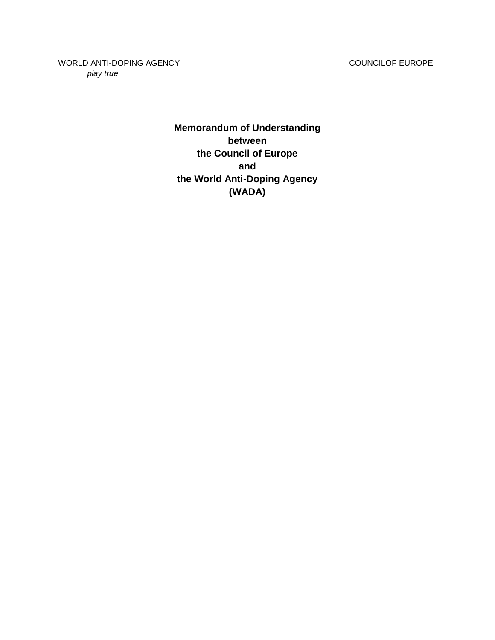WORLD ANTI-DOPING AGENCY **COUNCILOF EUROPE** *play true*

> **Memorandum of Understanding between the Council of Europe and the World Anti-Doping Agency (WADA)**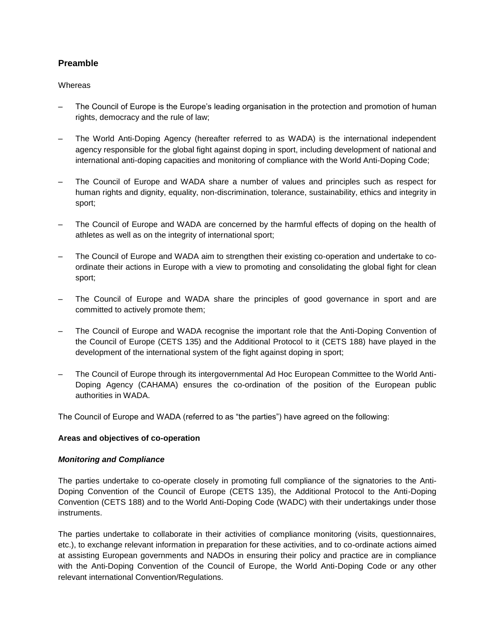# **Preamble**

# **Whereas**

- The Council of Europe is the Europe's leading organisation in the protection and promotion of human rights, democracy and the rule of law;
- The World Anti-Doping Agency (hereafter referred to as WADA) is the international independent agency responsible for the global fight against doping in sport, including development of national and international anti-doping capacities and monitoring of compliance with the World Anti-Doping Code;
- The Council of Europe and WADA share a number of values and principles such as respect for human rights and dignity, equality, non-discrimination, tolerance, sustainability, ethics and integrity in sport;
- The Council of Europe and WADA are concerned by the harmful effects of doping on the health of athletes as well as on the integrity of international sport;
- The Council of Europe and WADA aim to strengthen their existing co-operation and undertake to coordinate their actions in Europe with a view to promoting and consolidating the global fight for clean sport;
- The Council of Europe and WADA share the principles of good governance in sport and are committed to actively promote them;
- The Council of Europe and WADA recognise the important role that the Anti-Doping Convention of the Council of Europe (CETS 135) and the Additional Protocol to it (CETS 188) have played in the development of the international system of the fight against doping in sport;
- The Council of Europe through its intergovernmental Ad Hoc European Committee to the World Anti-Doping Agency (CAHAMA) ensures the co-ordination of the position of the European public authorities in WADA.

The Council of Europe and WADA (referred to as "the parties") have agreed on the following:

# **Areas and objectives of co-operation**

#### *Monitoring and Compliance*

The parties undertake to co-operate closely in promoting full compliance of the signatories to the Anti-Doping Convention of the Council of Europe (CETS 135), the Additional Protocol to the Anti-Doping Convention (CETS 188) and to the World Anti-Doping Code (WADC) with their undertakings under those instruments.

The parties undertake to collaborate in their activities of compliance monitoring (visits, questionnaires, etc.), to exchange relevant information in preparation for these activities, and to co-ordinate actions aimed at assisting European governments and NADOs in ensuring their policy and practice are in compliance with the Anti-Doping Convention of the Council of Europe, the World Anti-Doping Code or any other relevant international Convention/Regulations.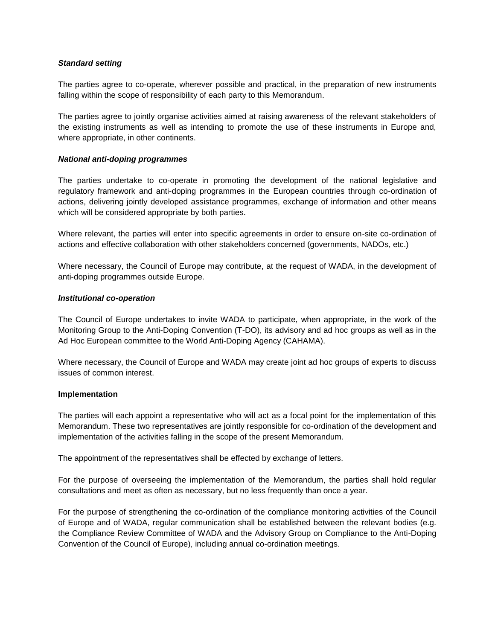# *Standard setting*

The parties agree to co-operate, wherever possible and practical, in the preparation of new instruments falling within the scope of responsibility of each party to this Memorandum.

The parties agree to jointly organise activities aimed at raising awareness of the relevant stakeholders of the existing instruments as well as intending to promote the use of these instruments in Europe and, where appropriate, in other continents.

#### *National anti-doping programmes*

The parties undertake to co-operate in promoting the development of the national legislative and regulatory framework and anti-doping programmes in the European countries through co-ordination of actions, delivering jointly developed assistance programmes, exchange of information and other means which will be considered appropriate by both parties.

Where relevant, the parties will enter into specific agreements in order to ensure on-site co-ordination of actions and effective collaboration with other stakeholders concerned (governments, NADOs, etc.)

Where necessary, the Council of Europe may contribute, at the request of WADA, in the development of anti-doping programmes outside Europe.

#### *Institutional co-operation*

The Council of Europe undertakes to invite WADA to participate, when appropriate, in the work of the Monitoring Group to the Anti-Doping Convention (T-DO), its advisory and ad hoc groups as well as in the Ad Hoc European committee to the World Anti-Doping Agency (CAHAMA).

Where necessary, the Council of Europe and WADA may create joint ad hoc groups of experts to discuss issues of common interest.

#### **Implementation**

The parties will each appoint a representative who will act as a focal point for the implementation of this Memorandum. These two representatives are jointly responsible for co-ordination of the development and implementation of the activities falling in the scope of the present Memorandum.

The appointment of the representatives shall be effected by exchange of letters.

For the purpose of overseeing the implementation of the Memorandum, the parties shall hold regular consultations and meet as often as necessary, but no less frequently than once a year.

For the purpose of strengthening the co-ordination of the compliance monitoring activities of the Council of Europe and of WADA, regular communication shall be established between the relevant bodies (e.g. the Compliance Review Committee of WADA and the Advisory Group on Compliance to the Anti-Doping Convention of the Council of Europe), including annual co-ordination meetings.